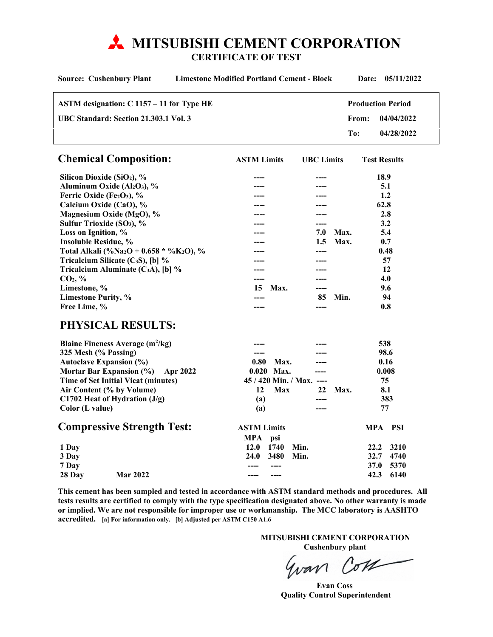# **MITSUBISHI CEMENT CORPORATION**

**CERTIFICATE OF TEST** 

| <b>Limestone Modified Portland Cement - Block</b><br><b>Source: Cushenbury Plant</b> |                    |                           |                   |       | Date:                    | 05/11/2022 |
|--------------------------------------------------------------------------------------|--------------------|---------------------------|-------------------|-------|--------------------------|------------|
| ASTM designation: C 1157 - 11 for Type HE                                            |                    |                           |                   |       | <b>Production Period</b> |            |
| UBC Standard: Section 21.303.1 Vol. 3                                                |                    |                           |                   | From: |                          | 04/04/2022 |
|                                                                                      |                    |                           |                   | To:   |                          | 04/28/2022 |
| <b>Chemical Composition:</b>                                                         | <b>ASTM Limits</b> |                           | <b>UBC</b> Limits |       | <b>Test Results</b>      |            |
| Silicon Dioxide (SiO <sub>2</sub> ), %                                               |                    |                           |                   |       | 18.9                     |            |
| Aluminum Oxide (Al <sub>2</sub> O <sub>3</sub> ), %                                  |                    |                           |                   |       | 5.1                      |            |
| Ferric Oxide (Fe2O3), %                                                              |                    |                           |                   |       | 1.2                      |            |
| Calcium Oxide (CaO), %                                                               |                    |                           |                   |       | 62.8                     |            |
| Magnesium Oxide (MgO), %                                                             |                    |                           |                   |       | 2.8                      |            |
| Sulfur Trioxide (SO <sub>3</sub> ), %                                                |                    |                           |                   |       | 3.2                      |            |
| Loss on Ignition, %                                                                  |                    |                           | 7.0               | Max.  | 5.4                      |            |
| <b>Insoluble Residue, %</b>                                                          |                    |                           | $1.5\,$           | Max.  | 0.7                      |            |
| Total Alkali (%Na <sub>2</sub> O + 0.658 * %K <sub>2</sub> O), %                     |                    |                           |                   |       | 0.48                     |            |
| Tricalcium Silicate (C <sub>3</sub> S), [b] $\%$                                     |                    |                           | ----              |       |                          | 57         |
| Tricalcium Aluminate $(C_3A)$ , [b] %                                                |                    |                           |                   |       | 12                       |            |
| CO <sub>2</sub> , %                                                                  |                    |                           |                   |       | 4.0                      |            |
| Limestone, %                                                                         | 15                 | Max.                      | ----              |       | 9.6                      |            |
| <b>Limestone Purity, %</b>                                                           |                    |                           | 85                | Min.  |                          | 94         |
| Free Lime, %                                                                         | ----               |                           | $---$             |       | 0.8                      |            |
| PHYSICAL RESULTS:                                                                    |                    |                           |                   |       |                          |            |
| Blaine Fineness Average $(m^2/kg)$                                                   |                    |                           |                   |       | 538                      |            |
| 325 Mesh (% Passing)                                                                 | $---$              |                           | $---$             |       | 98.6                     |            |
| <b>Autoclave Expansion (%)</b>                                                       | 0.80               | Max.                      |                   |       | 0.16                     |            |
| Mortar Bar Expansion (%)                                                             | Apr 2022           | 0.020 Max.                |                   |       | 0.008                    |            |
| <b>Time of Set Initial Vicat (minutes)</b>                                           |                    | 45 / 420 Min. / Max. ---- |                   |       | 75                       |            |
| Air Content (% by Volume)                                                            | 12                 | Max                       | 22                | Max.  | 8.1                      |            |
| C1702 Heat of Hydration $(J/g)$                                                      | (a)                |                           | ----              |       |                          | 383        |
| Color (L value)                                                                      | (a)                |                           | ----              |       | 77                       |            |
| <b>Compressive Strength Test:</b>                                                    | MPA                | <b>ASTM Limits</b><br>psi |                   |       | MPA PSI                  |            |
| 1 Day                                                                                | 12.0               | 1740<br>Min.              |                   |       | 22.2                     | 3210       |
| 3 Day                                                                                | 24.0               | 3480<br>Min.              |                   |       | 32.7                     | 4740       |
| 7 Day                                                                                | ----               | $---$                     |                   |       | 37.0                     | 5370       |
| <b>Mar 2022</b><br>28 Day                                                            |                    |                           |                   |       | 42.3                     | 6140       |

**This cement has been sampled and tested in accordance with ASTM standard methods and procedures. All tests results are certified to comply with the type specification designated above. No other warranty is made or implied. We are not responsible for improper use or workmanship. The MCC laboratory is AASHTO accredited. [a] For information only. [b] Adjusted per ASTM C150 A1.6** 

> **MITSUBISHI CEMENT CORPORATION Cushenbury plant**

Gran Com

 **Evan Coss Quality Control Superintendent**